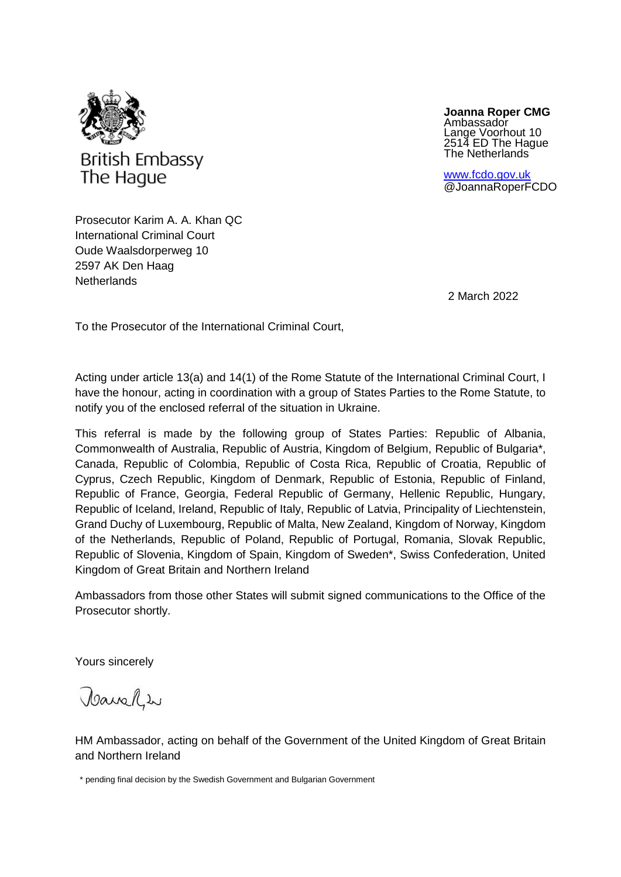

**Joanna Roper CMG** Ambassador Lange Voorhout 10 2514 ED The Hague The Netherlands

[www.fcdo.gov.uk](http://www.fcdo.gov.uk/) @JoannaRoperFCDO

Prosecutor Karim A. A. Khan QC International Criminal Court Oude Waalsdorperweg 10 2597 AK Den Haag **Netherlands** 

2 March 2022

To the Prosecutor of the International Criminal Court,

Acting under article 13(a) and 14(1) of the Rome Statute of the International Criminal Court, I have the honour, acting in coordination with a group of States Parties to the Rome Statute, to notify you of the enclosed referral of the situation in Ukraine.

This referral is made by the following group of States Parties: Republic of Albania, Commonwealth of Australia, Republic of Austria, Kingdom of Belgium, Republic of Bulgaria\*, Canada, Republic of Colombia, Republic of Costa Rica, Republic of Croatia, Republic of Cyprus, Czech Republic, Kingdom of Denmark, Republic of Estonia, Republic of Finland, Republic of France, Georgia, Federal Republic of Germany, Hellenic Republic, Hungary, Republic of Iceland, Ireland, Republic of Italy, Republic of Latvia, Principality of Liechtenstein, Grand Duchy of Luxembourg, Republic of Malta, New Zealand, Kingdom of Norway, Kingdom of the Netherlands, Republic of Poland, Republic of Portugal, Romania, Slovak Republic, Republic of Slovenia, Kingdom of Spain, Kingdom of Sweden\*, Swiss Confederation, United Kingdom of Great Britain and Northern Ireland

Ambassadors from those other States will submit signed communications to the Office of the Prosecutor shortly.

Yours sincerely

Tanahw

HM Ambassador, acting on behalf of the Government of the United Kingdom of Great Britain and Northern Ireland

 <sup>\*</sup> pending final decision by the Swedish Government and Bulgarian Government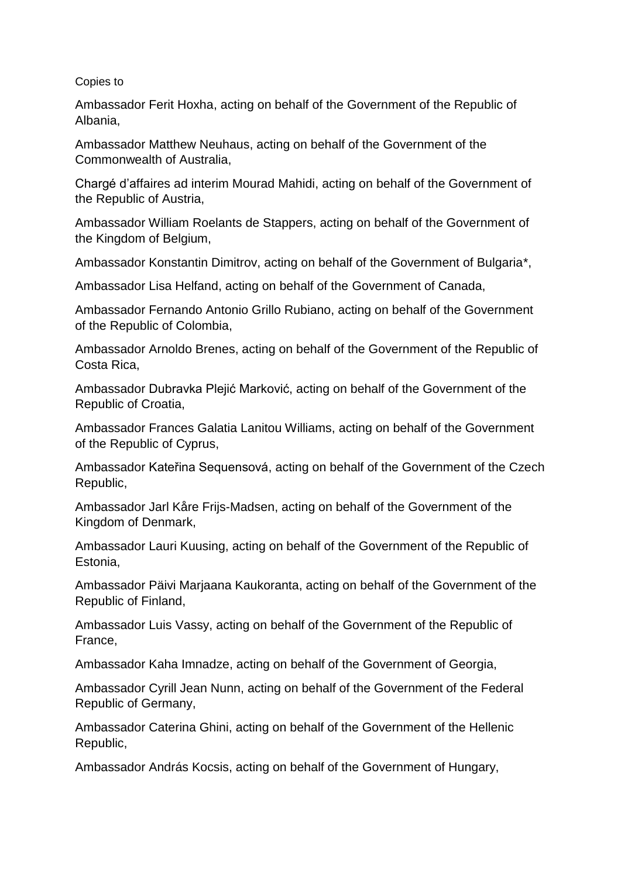## Copies to

Ambassador Ferit Hoxha, acting on behalf of the Government of the Republic of Albania,

Ambassador Matthew Neuhaus, acting on behalf of the Government of the Commonwealth of Australia,

Chargé d'affaires ad interim Mourad Mahidi, acting on behalf of the Government of the Republic of Austria,

Ambassador William Roelants de Stappers, acting on behalf of the Government of the Kingdom of Belgium,

Ambassador Konstantin Dimitrov, acting on behalf of the Government of Bulgaria\*,

Ambassador Lisa Helfand, acting on behalf of the Government of Canada,

Ambassador Fernando Antonio Grillo Rubiano, acting on behalf of the Government of the Republic of Colombia,

Ambassador Arnoldo Brenes, acting on behalf of the Government of the Republic of Costa Rica,

Ambassador Dubravka Plejić Marković, acting on behalf of the Government of the Republic of Croatia,

Ambassador Frances Galatia Lanitou Williams, acting on behalf of the Government of the Republic of Cyprus,

Ambassador Kateřina Sequensová, acting on behalf of the Government of the Czech Republic,

Ambassador Jarl Kåre Frijs-Madsen, acting on behalf of the Government of the Kingdom of Denmark,

Ambassador Lauri Kuusing, acting on behalf of the Government of the Republic of Estonia,

Ambassador Päivi Marjaana Kaukoranta, acting on behalf of the Government of the Republic of Finland,

Ambassador Luis Vassy, acting on behalf of the Government of the Republic of France,

Ambassador Kaha Imnadze, acting on behalf of the Government of Georgia,

Ambassador Cyrill Jean Nunn, acting on behalf of the Government of the Federal Republic of Germany,

Ambassador Caterina Ghini, acting on behalf of the Government of the Hellenic Republic,

Ambassador András Kocsis, acting on behalf of the Government of Hungary,